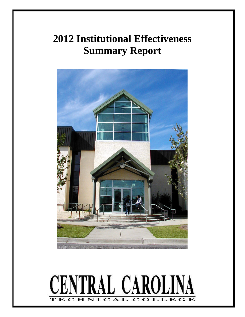# **2012 Institutional Effectiveness Summary Report**



#### **CENTRAL CAROLINA**  $C$   $\mathbf{A}$ LLE H т O т.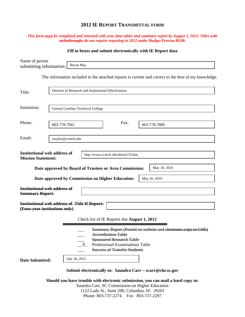# **2012 IE REPORT TRANSMITTAL FORM**

## *This form must be completed and returned with your data tables and summary report by August 1, 2012. Titles with strikethroughs do not require reporting in 2012 under Budget* **Proviso 89.90.**

## **Fill in boxes and submit electronically with IE Report data**

| Name of person<br>submitting information:                        | Bryan May                                                                                                                                                                                                                |  |  |  |  |  |
|------------------------------------------------------------------|--------------------------------------------------------------------------------------------------------------------------------------------------------------------------------------------------------------------------|--|--|--|--|--|
|                                                                  | The information included in the attached reports is current and correct to the best of my knowledge.                                                                                                                     |  |  |  |  |  |
| Title:                                                           | Director of Research and Institutional Effectiveness                                                                                                                                                                     |  |  |  |  |  |
| Institution:                                                     | Central Carolina Technical College                                                                                                                                                                                       |  |  |  |  |  |
| Phone:                                                           | Fax:<br>803-778-7841<br>803-778-7889                                                                                                                                                                                     |  |  |  |  |  |
| Email:                                                           | maybw@cctech.edu                                                                                                                                                                                                         |  |  |  |  |  |
| <b>Institutional web address of</b><br><b>Mission Statement:</b> | http://www.cctech.edu/about135.htm                                                                                                                                                                                       |  |  |  |  |  |
|                                                                  | May 18, 2010<br>Date approved by Board of Trustees or Area Commission:                                                                                                                                                   |  |  |  |  |  |
|                                                                  | Date approved by Commission on Higher Education:<br>May 26, 2010                                                                                                                                                         |  |  |  |  |  |
| <b>Institutional web address of</b><br><b>Summary Report:</b>    |                                                                                                                                                                                                                          |  |  |  |  |  |
| (Four-year institutions only)                                    | <b>Institutional web address of Title II Report:</b>                                                                                                                                                                     |  |  |  |  |  |
|                                                                  | Check list of IE Reports due August 1, 2012                                                                                                                                                                              |  |  |  |  |  |
|                                                                  | Summary Report (Posted on website and electronic copy to CHE)<br><b>Accreditation Table</b><br><b>Sponsored Research Table</b><br>Professional Examinations Table<br>$\mathbf{X}$<br><b>Success of Transfer Students</b> |  |  |  |  |  |
| <b>Date Submitted:</b>                                           | July 18, 2012                                                                                                                                                                                                            |  |  |  |  |  |
|                                                                  | Submit electronically to: Saundra Carr - scarr@che.sc.gov                                                                                                                                                                |  |  |  |  |  |
|                                                                  | Should you have trouble with electronic submission, you can mail a hard copy to:<br>Saundra Carr, SC Commission on Higher Education                                                                                      |  |  |  |  |  |

1122 Lady St., Suite 200, Columbia, SC 29201 Phone: 803-737-2274 Fax: 803-737-2297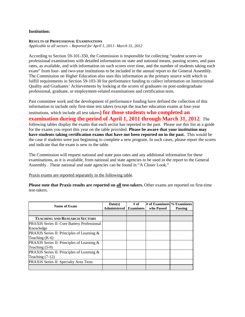### **Institution:**

#### **RESULTS OF PROFESSIONAL EXAMINATIONS**

*Applicable to all sectors – Reported for April 1, 2011- March 31, 2012* 

According to Section 59-101-350, the Commission is responsible for collecting "student scores on professional examinations with detailed information on state and national means, passing scores, and pass rates, as available, and with information on such scores over time, and the number of students taking each exam" from four- and two-year institutions to be included in the annual report to the General Assembly. The Commission on Higher Education also uses this information as the primary source with which to fulfill requirements in Section 59-103-30 for performance funding to collect information on Instructional Quality and Graduates' Achievements by looking at the scores of graduates on post-undergraduate professional, graduate, or employment-related examinations and certification tests.

Past committee work and the development of performance funding have defined the collection of this information to include only first-time test takers (except the teacher education exams at four-year

institutions, which include all test takers**) for those students who completed an examination during the period of April 1, 2011 through March 31, 2012**. The following tables display the exams that each sector has reported in the past. Please use this list as a guide for the exams you report this year on the table provided. **Please be aware that your institution may have students taking certification exams that have not been reported on in the past.** This would be the case if students were just beginning to complete a new program. In such cases, please report the scores and indicate that the exam is new to the table.

The Commission will request national and state pass rates and any additional information for these examinations, as it is available, from national and state agencies to be used in the report to the General Assembly. These national and state agencies can be found in "A Closer Look."

Praxis exams are reported separately in the following table.

| Name of Exam                                       | Date(s)<br><b>Administered</b> Examinees | # of | # of Examinees % Examinees<br>who Passed | <b>Passing</b> |
|----------------------------------------------------|------------------------------------------|------|------------------------------------------|----------------|
|                                                    |                                          |      |                                          |                |
| <b>TEACHING AND RESEARCH SECTORS</b>               |                                          |      |                                          |                |
| <b>PRAXIS Series II: Core Battery Professional</b> |                                          |      |                                          |                |
| Knowledge                                          |                                          |      |                                          |                |
| PRAXIS Series II: Principles of Learning &         |                                          |      |                                          |                |
| Teaching $(K-6)$                                   |                                          |      |                                          |                |
| PRAXIS Series II: Principles of Learning &         |                                          |      |                                          |                |
| Teaching $(5-9)$                                   |                                          |      |                                          |                |
| PRAXIS Series II: Principles of Learning &         |                                          |      |                                          |                |
| Teaching $(7-12)$                                  |                                          |      |                                          |                |
| PRAXIS Series II: Specialty Area Tests             |                                          |      |                                          |                |
|                                                    |                                          |      |                                          |                |

**Please note that Praxis results are reported on all test-takers.** Other exams are reported on first-time test-takers.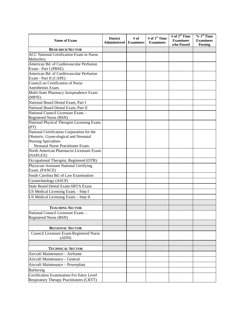| <b>RESEARCH SECTOR</b><br><b>ACC National Certification Exam in Nurse</b><br>Midwifery<br>American Bd. of Cardiovascular Perfusion<br>Exam - Part I (PBSE)<br>American Bd. of Cardiovascular Perfusion<br>Anesthetists Exam.<br>Multi-State Pharmacy Jurisprudence Exam<br>(MPJE)<br>National Board Dental Exam, Part I<br>National Board Dental Exam, Part II<br>National Council Licensure Exam. -<br>Registered Nurse (BSN)<br>National Physical Therapist Licensing Exam.<br>(PT)<br>National Certification Corporation for the<br>Obstetric, Gynecological and Neonatal<br><b>Nursing Specialties:</b><br>Neonatal Nurse Practitioner Exam.<br>North American Pharmacist Licensure Exam.<br>(NAPLEX)<br>Occupational Therapist, Registered (OTR)<br>Physician Assistant National Certifying<br>Exam. (PANCE)<br>South Carolina Bd. of Law Examination<br>Cytotechnology (ASCP)<br>State Board Dental Exam-SRTA Exam.<br>US Medical Licensing Exam. - Step I<br>US Medical Licensing Exam. - Step II<br><b>TEACHING SECTOR</b><br>National Council Licensure Exam.<br>Registered Nurse (BSN)<br><b>REGIONAL SECTOR</b><br>Council Licensure Exam-Registered Nurse<br>(ADN)<br><b>TECHNICAL SECTOR</b><br>Aircraft Maintenance - Airframe<br>Aircraft Maintenance - General<br>Aircraft Maintenance - Powerplant<br>Barbering<br>Certification Examination For Entry Level<br>Respiratory Therapy Practitioners (CRTT) | <b>Name of Exam</b>               | Date(s)<br><b>Administered</b> | $#$ of<br><b>Examinees</b> | # of 1 <sup>st</sup> Time<br><b>Examinees</b> | # of 1 <sup>st</sup> Time<br><b>Examinees</b><br>who Passed | $%1st$ Time<br><b>Examinees</b><br>Passing |
|---------------------------------------------------------------------------------------------------------------------------------------------------------------------------------------------------------------------------------------------------------------------------------------------------------------------------------------------------------------------------------------------------------------------------------------------------------------------------------------------------------------------------------------------------------------------------------------------------------------------------------------------------------------------------------------------------------------------------------------------------------------------------------------------------------------------------------------------------------------------------------------------------------------------------------------------------------------------------------------------------------------------------------------------------------------------------------------------------------------------------------------------------------------------------------------------------------------------------------------------------------------------------------------------------------------------------------------------------------------------------------------------------------------------------|-----------------------------------|--------------------------------|----------------------------|-----------------------------------------------|-------------------------------------------------------------|--------------------------------------------|
|                                                                                                                                                                                                                                                                                                                                                                                                                                                                                                                                                                                                                                                                                                                                                                                                                                                                                                                                                                                                                                                                                                                                                                                                                                                                                                                                                                                                                           |                                   |                                |                            |                                               |                                                             |                                            |
|                                                                                                                                                                                                                                                                                                                                                                                                                                                                                                                                                                                                                                                                                                                                                                                                                                                                                                                                                                                                                                                                                                                                                                                                                                                                                                                                                                                                                           |                                   |                                |                            |                                               |                                                             |                                            |
|                                                                                                                                                                                                                                                                                                                                                                                                                                                                                                                                                                                                                                                                                                                                                                                                                                                                                                                                                                                                                                                                                                                                                                                                                                                                                                                                                                                                                           |                                   |                                |                            |                                               |                                                             |                                            |
|                                                                                                                                                                                                                                                                                                                                                                                                                                                                                                                                                                                                                                                                                                                                                                                                                                                                                                                                                                                                                                                                                                                                                                                                                                                                                                                                                                                                                           |                                   |                                |                            |                                               |                                                             |                                            |
|                                                                                                                                                                                                                                                                                                                                                                                                                                                                                                                                                                                                                                                                                                                                                                                                                                                                                                                                                                                                                                                                                                                                                                                                                                                                                                                                                                                                                           |                                   |                                |                            |                                               |                                                             |                                            |
|                                                                                                                                                                                                                                                                                                                                                                                                                                                                                                                                                                                                                                                                                                                                                                                                                                                                                                                                                                                                                                                                                                                                                                                                                                                                                                                                                                                                                           | Exam - Part II (CAPE)             |                                |                            |                                               |                                                             |                                            |
|                                                                                                                                                                                                                                                                                                                                                                                                                                                                                                                                                                                                                                                                                                                                                                                                                                                                                                                                                                                                                                                                                                                                                                                                                                                                                                                                                                                                                           | Council on Certification of Nurse |                                |                            |                                               |                                                             |                                            |
|                                                                                                                                                                                                                                                                                                                                                                                                                                                                                                                                                                                                                                                                                                                                                                                                                                                                                                                                                                                                                                                                                                                                                                                                                                                                                                                                                                                                                           |                                   |                                |                            |                                               |                                                             |                                            |
|                                                                                                                                                                                                                                                                                                                                                                                                                                                                                                                                                                                                                                                                                                                                                                                                                                                                                                                                                                                                                                                                                                                                                                                                                                                                                                                                                                                                                           |                                   |                                |                            |                                               |                                                             |                                            |
|                                                                                                                                                                                                                                                                                                                                                                                                                                                                                                                                                                                                                                                                                                                                                                                                                                                                                                                                                                                                                                                                                                                                                                                                                                                                                                                                                                                                                           |                                   |                                |                            |                                               |                                                             |                                            |
|                                                                                                                                                                                                                                                                                                                                                                                                                                                                                                                                                                                                                                                                                                                                                                                                                                                                                                                                                                                                                                                                                                                                                                                                                                                                                                                                                                                                                           |                                   |                                |                            |                                               |                                                             |                                            |
|                                                                                                                                                                                                                                                                                                                                                                                                                                                                                                                                                                                                                                                                                                                                                                                                                                                                                                                                                                                                                                                                                                                                                                                                                                                                                                                                                                                                                           |                                   |                                |                            |                                               |                                                             |                                            |
|                                                                                                                                                                                                                                                                                                                                                                                                                                                                                                                                                                                                                                                                                                                                                                                                                                                                                                                                                                                                                                                                                                                                                                                                                                                                                                                                                                                                                           |                                   |                                |                            |                                               |                                                             |                                            |
|                                                                                                                                                                                                                                                                                                                                                                                                                                                                                                                                                                                                                                                                                                                                                                                                                                                                                                                                                                                                                                                                                                                                                                                                                                                                                                                                                                                                                           |                                   |                                |                            |                                               |                                                             |                                            |
|                                                                                                                                                                                                                                                                                                                                                                                                                                                                                                                                                                                                                                                                                                                                                                                                                                                                                                                                                                                                                                                                                                                                                                                                                                                                                                                                                                                                                           |                                   |                                |                            |                                               |                                                             |                                            |
|                                                                                                                                                                                                                                                                                                                                                                                                                                                                                                                                                                                                                                                                                                                                                                                                                                                                                                                                                                                                                                                                                                                                                                                                                                                                                                                                                                                                                           |                                   |                                |                            |                                               |                                                             |                                            |
|                                                                                                                                                                                                                                                                                                                                                                                                                                                                                                                                                                                                                                                                                                                                                                                                                                                                                                                                                                                                                                                                                                                                                                                                                                                                                                                                                                                                                           |                                   |                                |                            |                                               |                                                             |                                            |
|                                                                                                                                                                                                                                                                                                                                                                                                                                                                                                                                                                                                                                                                                                                                                                                                                                                                                                                                                                                                                                                                                                                                                                                                                                                                                                                                                                                                                           |                                   |                                |                            |                                               |                                                             |                                            |
|                                                                                                                                                                                                                                                                                                                                                                                                                                                                                                                                                                                                                                                                                                                                                                                                                                                                                                                                                                                                                                                                                                                                                                                                                                                                                                                                                                                                                           |                                   |                                |                            |                                               |                                                             |                                            |
|                                                                                                                                                                                                                                                                                                                                                                                                                                                                                                                                                                                                                                                                                                                                                                                                                                                                                                                                                                                                                                                                                                                                                                                                                                                                                                                                                                                                                           |                                   |                                |                            |                                               |                                                             |                                            |
|                                                                                                                                                                                                                                                                                                                                                                                                                                                                                                                                                                                                                                                                                                                                                                                                                                                                                                                                                                                                                                                                                                                                                                                                                                                                                                                                                                                                                           |                                   |                                |                            |                                               |                                                             |                                            |
|                                                                                                                                                                                                                                                                                                                                                                                                                                                                                                                                                                                                                                                                                                                                                                                                                                                                                                                                                                                                                                                                                                                                                                                                                                                                                                                                                                                                                           |                                   |                                |                            |                                               |                                                             |                                            |
|                                                                                                                                                                                                                                                                                                                                                                                                                                                                                                                                                                                                                                                                                                                                                                                                                                                                                                                                                                                                                                                                                                                                                                                                                                                                                                                                                                                                                           |                                   |                                |                            |                                               |                                                             |                                            |
|                                                                                                                                                                                                                                                                                                                                                                                                                                                                                                                                                                                                                                                                                                                                                                                                                                                                                                                                                                                                                                                                                                                                                                                                                                                                                                                                                                                                                           |                                   |                                |                            |                                               |                                                             |                                            |
|                                                                                                                                                                                                                                                                                                                                                                                                                                                                                                                                                                                                                                                                                                                                                                                                                                                                                                                                                                                                                                                                                                                                                                                                                                                                                                                                                                                                                           |                                   |                                |                            |                                               |                                                             |                                            |
|                                                                                                                                                                                                                                                                                                                                                                                                                                                                                                                                                                                                                                                                                                                                                                                                                                                                                                                                                                                                                                                                                                                                                                                                                                                                                                                                                                                                                           |                                   |                                |                            |                                               |                                                             |                                            |
|                                                                                                                                                                                                                                                                                                                                                                                                                                                                                                                                                                                                                                                                                                                                                                                                                                                                                                                                                                                                                                                                                                                                                                                                                                                                                                                                                                                                                           |                                   |                                |                            |                                               |                                                             |                                            |
|                                                                                                                                                                                                                                                                                                                                                                                                                                                                                                                                                                                                                                                                                                                                                                                                                                                                                                                                                                                                                                                                                                                                                                                                                                                                                                                                                                                                                           |                                   |                                |                            |                                               |                                                             |                                            |
|                                                                                                                                                                                                                                                                                                                                                                                                                                                                                                                                                                                                                                                                                                                                                                                                                                                                                                                                                                                                                                                                                                                                                                                                                                                                                                                                                                                                                           |                                   |                                |                            |                                               |                                                             |                                            |
|                                                                                                                                                                                                                                                                                                                                                                                                                                                                                                                                                                                                                                                                                                                                                                                                                                                                                                                                                                                                                                                                                                                                                                                                                                                                                                                                                                                                                           |                                   |                                |                            |                                               |                                                             |                                            |
|                                                                                                                                                                                                                                                                                                                                                                                                                                                                                                                                                                                                                                                                                                                                                                                                                                                                                                                                                                                                                                                                                                                                                                                                                                                                                                                                                                                                                           |                                   |                                |                            |                                               |                                                             |                                            |
|                                                                                                                                                                                                                                                                                                                                                                                                                                                                                                                                                                                                                                                                                                                                                                                                                                                                                                                                                                                                                                                                                                                                                                                                                                                                                                                                                                                                                           |                                   |                                |                            |                                               |                                                             |                                            |
|                                                                                                                                                                                                                                                                                                                                                                                                                                                                                                                                                                                                                                                                                                                                                                                                                                                                                                                                                                                                                                                                                                                                                                                                                                                                                                                                                                                                                           |                                   |                                |                            |                                               |                                                             |                                            |
|                                                                                                                                                                                                                                                                                                                                                                                                                                                                                                                                                                                                                                                                                                                                                                                                                                                                                                                                                                                                                                                                                                                                                                                                                                                                                                                                                                                                                           |                                   |                                |                            |                                               |                                                             |                                            |
|                                                                                                                                                                                                                                                                                                                                                                                                                                                                                                                                                                                                                                                                                                                                                                                                                                                                                                                                                                                                                                                                                                                                                                                                                                                                                                                                                                                                                           |                                   |                                |                            |                                               |                                                             |                                            |
|                                                                                                                                                                                                                                                                                                                                                                                                                                                                                                                                                                                                                                                                                                                                                                                                                                                                                                                                                                                                                                                                                                                                                                                                                                                                                                                                                                                                                           |                                   |                                |                            |                                               |                                                             |                                            |
|                                                                                                                                                                                                                                                                                                                                                                                                                                                                                                                                                                                                                                                                                                                                                                                                                                                                                                                                                                                                                                                                                                                                                                                                                                                                                                                                                                                                                           |                                   |                                |                            |                                               |                                                             |                                            |
|                                                                                                                                                                                                                                                                                                                                                                                                                                                                                                                                                                                                                                                                                                                                                                                                                                                                                                                                                                                                                                                                                                                                                                                                                                                                                                                                                                                                                           |                                   |                                |                            |                                               |                                                             |                                            |
|                                                                                                                                                                                                                                                                                                                                                                                                                                                                                                                                                                                                                                                                                                                                                                                                                                                                                                                                                                                                                                                                                                                                                                                                                                                                                                                                                                                                                           |                                   |                                |                            |                                               |                                                             |                                            |
|                                                                                                                                                                                                                                                                                                                                                                                                                                                                                                                                                                                                                                                                                                                                                                                                                                                                                                                                                                                                                                                                                                                                                                                                                                                                                                                                                                                                                           |                                   |                                |                            |                                               |                                                             |                                            |
|                                                                                                                                                                                                                                                                                                                                                                                                                                                                                                                                                                                                                                                                                                                                                                                                                                                                                                                                                                                                                                                                                                                                                                                                                                                                                                                                                                                                                           |                                   |                                |                            |                                               |                                                             |                                            |